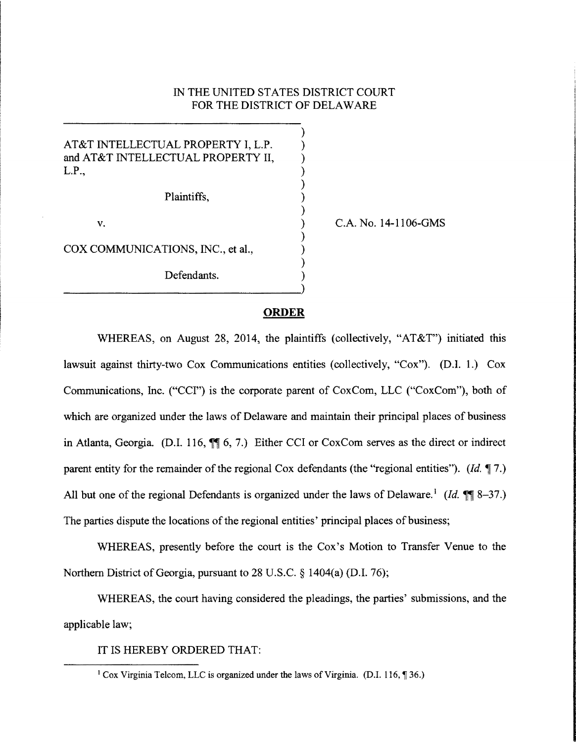## IN THE UNITED STATES DISTRICT COURT FOR THE DISTRICT OF DELAWARE

) ) ) ) ) ) ) ) ) ) ) )

AT&T INTELLECTUAL PROPERTY I, L.P. and AT&T INTELLECTUAL PROPERTY II, L.P.,

Plaintiffs,

v.

COX COMMUNICATIONS, INC., et al.,

Defendants. ~~~~~~~~~~~~~~~~~-) C.A. No. 14-1106-GMS

#### **ORDER**

WHEREAS, on August 28, 2014, the plaintiffs (collectively, "AT&T") initiated this lawsuit against thirty-two Cox Communications entities (collectively, "Cox"). (D.1. 1.) Cox Communications, Inc. ("CCI") is the corporate parent of CoxCom, LLC ("CoxCom"), both of which are organized under the laws of Delaware and maintain their principal places of business in Atlanta, Georgia. (D.I. 116,  $\mathbb{M}$  6, 7.) Either CCI or CoxCom serves as the direct or indirect parent entity for the remainder of the regional Cox defendants (the "regional entities"). *(Id.* 17.) All but one of the regional Defendants is organized under the laws of Delaware.<sup>1</sup> (Id.  $\mathbb{M}$  8–37.) The parties dispute the locations of the regional entities' principal places of business;

WHEREAS, presently before the court is the Cox's Motion to Transfer Venue to the Northern District of Georgia, pursuant to 28 U.S.C. § 1404(a) (D.I. 76);

WHEREAS, the court having considered the pleadings, the parties' submissions, and the applicable law;

IT IS HEREBY ORDERED THAT:

 $1$  Cox Virginia Telcom, LLC is organized under the laws of Virginia. (D.I. 116,  $\P$ 36.)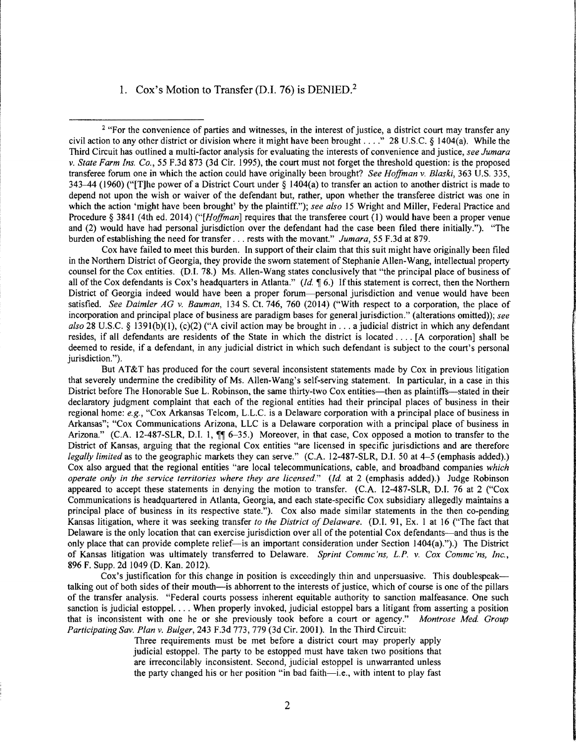### 1. Cox's Motion to Transfer (D.I. 76) is DENIED.<sup>2</sup>

<sup>2</sup> "For the convenience of parties and witnesses, in the interest of justice, a district court may transfer any civil action to any other district or division where it might have been brought ...." 28 U.S.C. § 1404(a). While the Third Circuit has outlined a multi-factor analysis for evaluating the interests of convenience and justice, *see Jumara v. State Farm Ins. Co.,* 55 F.3d 873 (3d Cir. 1995), the court must not forget the threshold question: is the proposed transferee forum one in which the action could have originally been brought? *See Hoffman* v. *Blaski,* 363 U.S. 335, 343-44 (1960) ("[T]he power of a District Court under § l 404(a) to transfer an action to another district is made to depend not upon the wish or waiver of the defendant but, rather, upon whether the transferee district was one in which the action 'might have been brought' by the plaintiff."); *see also* 15 Wright and Miller, Federal Practice and Procedure§ 3841 (4th ed. 2014) *("[Hoffman]* requires that the transferee court (1) would have been a proper venue and (2) would have had personal jurisdiction over the defendant had the case been filed there initially."). "The burden of establishing the need for transfer ... rests with the movant." *Jumara,* 55 F.3d at 879.

Cox have failed to meet this burden. In support of their claim that this suit might have originally been filed in the Northern District of Georgia, they provide the sworn statement of Stephanie Allen-Wang, intellectual property counsel for the Cox entities. (D.I. 78.) Ms. Allen-Wang states conclusively that "the principal place of business of all of the Cox defendants is Cox's headquarters in Atlanta." (Id. 16.) If this statement is correct, then the Northern District of Georgia indeed would have been a proper forum—personal jurisdiction and venue would have been satisfied. *See Daimler AG v. Bauman,* 134 S. Ct. 746, 760 (2014) ("With respect to a corporation, the place of incorporation and principal place of business are paradigm bases for general jurisdiction." (alterations omitted)); *see*   $also$  28 U.S.C. § 1391(b)(1), (c)(2) ("A civil action may be brought in  $\dots$  a judicial district in which any defendant resides, if all defendants are residents of the State in which the district is located .... [A corporation] shall be deemed to reside, if a defendant, in any judicial district in which such defendant is subject to the court's personal jurisdiction.").

*<u>Francisco Ale</u>sia* 

**In the contract of the little little little** 

But AT&T has produced for the court several inconsistent statements made by Cox in previous litigation that severely undermine the credibility of Ms. Allen-Wang's self-serving statement. In particular, in a case in this District before The Honorable Sue L. Robinson, the same thirty-two Cox entities—then as plaintiffs—stated in their declaratory judgment complaint that each of the regional entities had their principal places of business in their regional home: *e.g.,* "Cox Arkansas Telcom, L.L.C. is a Delaware corporation with a principal place of business in Arkansas"; "Cox Communications Arizona, LLC is a Delaware corporation with a principal place of business in Arizona." (C.A. 12-487-SLR, D.I. 1,  $\mathbb{I}$  6-35.) Moreover, in that case, Cox opposed a motion to transfer to the District of Kansas, arguing that the regional Cox entities "are licensed in specific jurisdictions and are therefore *legally limited* as to the geographic markets they can serve." (C.A. 12-487-SLR, D.I. 50 at 4-5 (emphasis added).) Cox also argued that the regional entities "are local telecommunications, cable, and broadband companies *which operate only in the service territories where they are licensed." (Id. at 2 (emphasis added).) Judge Robinson* appeared to accept these statements in denying the motion to transfer. (C.A. 12-487-SLR, DJ. 76 at 2 ("Cox Communications is headquartered in Atlanta, Georgia, and each state-specific Cox subsidiary allegedly maintains a principal place of business in its respective state."). Cox also made similar statements in the then co-pending Kansas litigation, where it was seeking transfer *to the District of Delaware.* (D.l. 91, Ex. l at 16 ("The fact that Delaware is the only location that can exercise jurisdiction over all of the potential Cox defendants—and thus is the only place that can provide complete relief—is an important consideration under Section 1404(a).").) The District of Kansas litigation was ultimately transferred to Delaware. *Sprint Commc'ns, L.P. v. Cox Commc'ns, Inc.,*  896 F. Supp. 2d 1049 (D. Kan. 2012).

Cox's justification for this change in position is exceedingly thin and unpersuasive. This doublespeak talking out of both sides of their mouth-is abhorrent to the interests of justice, which of course is one of the pillars of the transfer analysis. "Federal courts possess inherent equitable authority to sanction malfeasance. One such sanction is judicial estoppel. ... When properly invoked, judicial estoppel bars a litigant from asserting a position that is inconsistent with one he or she previously took before a court or agency." *Montrose Med. Group Participating Sav. Plan v. Bulger,* 243 F.3d 773, 779 (3d Cir. 2001). In the Third Circuit:

Three requirements must be met before a district court may properly apply judicial estoppel. The party to be estopped must have taken two positions that are irreconcilably inconsistent. Second, judicial estoppel is unwarranted unless the party changed his or her position "in bad faith—i.e., with intent to play fast